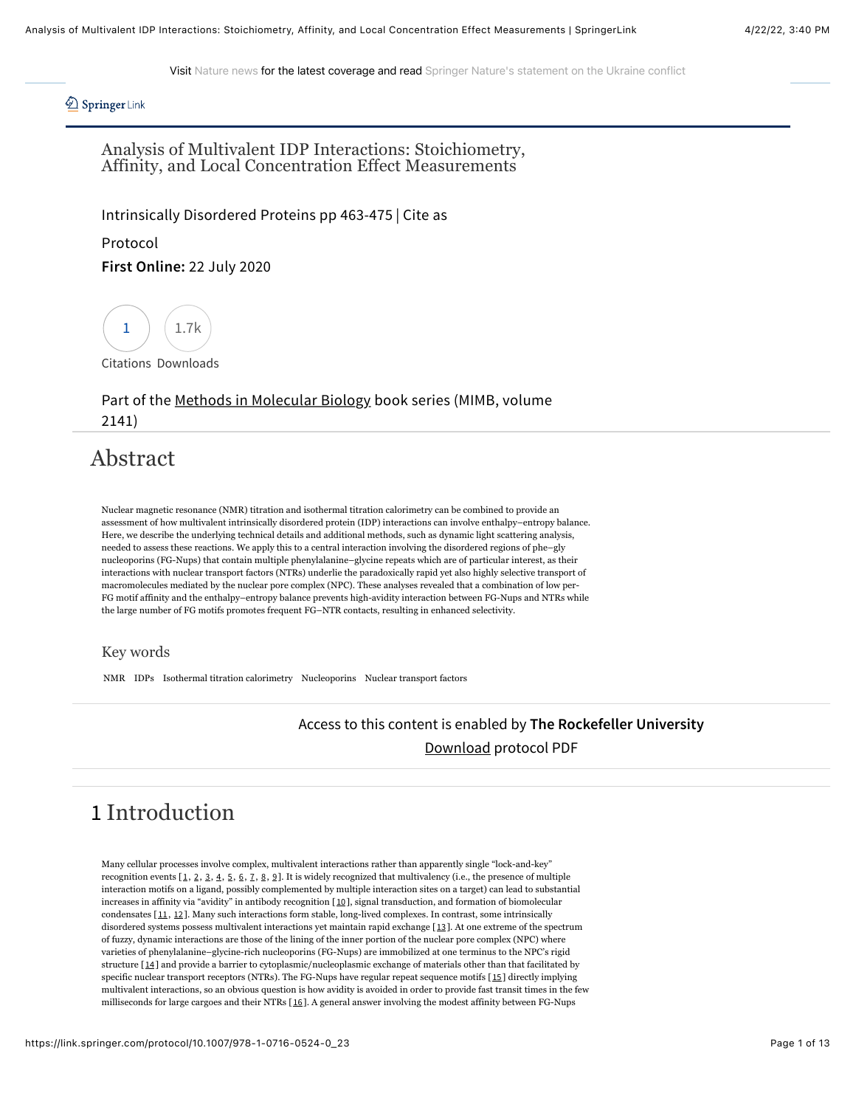Visit [Nature news](https://www.nature.com/news) for the latest coverage and read [Springer Nature's statement on the Ukraine conflict](https://www.springernature.com/gp/advancing-discovery/springboard/blog/blogposts-open-research/springer-nature-condemns-russian-invasion/20191448)

*A* Springer Link

Analysis of Multivalent IDP Interactions: Stoichiometry, Affinity, and Local Concentration Effect Measurements

[Intrinsically Disordered Proteins](https://link.springer.com/book/10.1007/978-1-0716-0524-0) pp 463-475 | [Cite as](#page-11-0)

Protocol **First Online:** 22 July 2020



[Citations](https://citations.springer.com/item?doi=10.1007/978-1-0716-0524-0_23) Downloads

Part of the [Methods in Molecular Biology](https://link.springer.com/bookseries/7651) book series (MIMB, volume 2141)

## Abstract

Nuclear magnetic resonance (NMR) titration and isothermal titration calorimetry can be combined to provide an assessment of how multivalent intrinsically disordered protein (IDP) interactions can involve enthalpy–entropy balance. Here, we describe the underlying technical details and additional methods, such as dynamic light scattering analysis, needed to assess these reactions. We apply this to a central interaction involving the disordered regions of phe–gly nucleoporins (FG-Nups) that contain multiple phenylalanine–glycine repeats which are of particular interest, as their interactions with nuclear transport factors (NTRs) underlie the paradoxically rapid yet also highly selective transport of macromolecules mediated by the nuclear pore complex (NPC). These analyses revealed that a combination of low per-FG motif affinity and the enthalpy–entropy balance prevents high-avidity interaction between FG-Nups and NTRs while the large number of FG motifs promotes frequent FG–NTR contacts, resulting in enhanced selectivity.

#### Key words

NMR IDPs Isothermal titration calorimetry Nucleoporins Nuclear transport factors

#### Access to this content is enabled by **The Rockefeller University**

[Download](https://link.springer.com/content/pdf/10.1007%2F978-1-0716-0524-0_23.pdf) protocol PDF

# 1 Introduction

Many cellular processes involve complex, multivalent interactions rather than apparently single "lock-and-key" recognition events  $[1, 2, 3, 4, 5, 6, 7, 8, 9]$  $[1, 2, 3, 4, 5, 6, 7, 8, 9]$  $[1, 2, 3, 4, 5, 6, 7, 8, 9]$  $[1, 2, 3, 4, 5, 6, 7, 8, 9]$  $[1, 2, 3, 4, 5, 6, 7, 8, 9]$  $[1, 2, 3, 4, 5, 6, 7, 8, 9]$  $[1, 2, 3, 4, 5, 6, 7, 8, 9]$  $[1, 2, 3, 4, 5, 6, 7, 8, 9]$  $[1, 2, 3, 4, 5, 6, 7, 8, 9]$  $[1, 2, 3, 4, 5, 6, 7, 8, 9]$  $[1, 2, 3, 4, 5, 6, 7, 8, 9]$  $[1, 2, 3, 4, 5, 6, 7, 8, 9]$  $[1, 2, 3, 4, 5, 6, 7, 8, 9]$  $[1, 2, 3, 4, 5, 6, 7, 8, 9]$  $[1, 2, 3, 4, 5, 6, 7, 8, 9]$  $[1, 2, 3, 4, 5, 6, 7, 8, 9]$  $[1, 2, 3, 4, 5, 6, 7, 8, 9]$  $[1, 2, 3, 4, 5, 6, 7, 8, 9]$  $[1, 2, 3, 4, 5, 6, 7, 8, 9]$ . It is widely recognized that multivalency (i.e., the presence of multiple interaction motifs on a ligand, possibly complemented by multiple interaction sites on a target) can lead to substantial increases in affinity via "avidity" in antibody recognition [[10](#page-8-9)], signal transduction, and formation of biomolecular condensates [[11](#page-9-0), [12](#page-9-1)]. Many such interactions form stable, long-lived complexes. In contrast, some intrinsically disordered systems possess multivalent interactions yet maintain rapid exchange [[13](#page-9-2)]. At one extreme of the spectrum of fuzzy, dynamic interactions are those of the lining of the inner portion of the nuclear pore complex (NPC) where varieties of phenylalanine–glycine-rich nucleoporins (FG-Nups) are immobilized at one terminus to the NPC's rigid structure [[14](#page-9-3)] and provide a barrier to cytoplasmic/nucleoplasmic exchange of materials other than that facilitated by specific nuclear transport receptors (NTRs). The FG-Nups have regular repeat sequence motifs [[15](#page-9-4)] directly implying multivalent interactions, so an obvious question is how avidity is avoided in order to provide fast transit times in the few milliseconds for large cargoes and their NTRs [[16](#page-9-5)]. A general answer involving the modest affinity between FG-Nups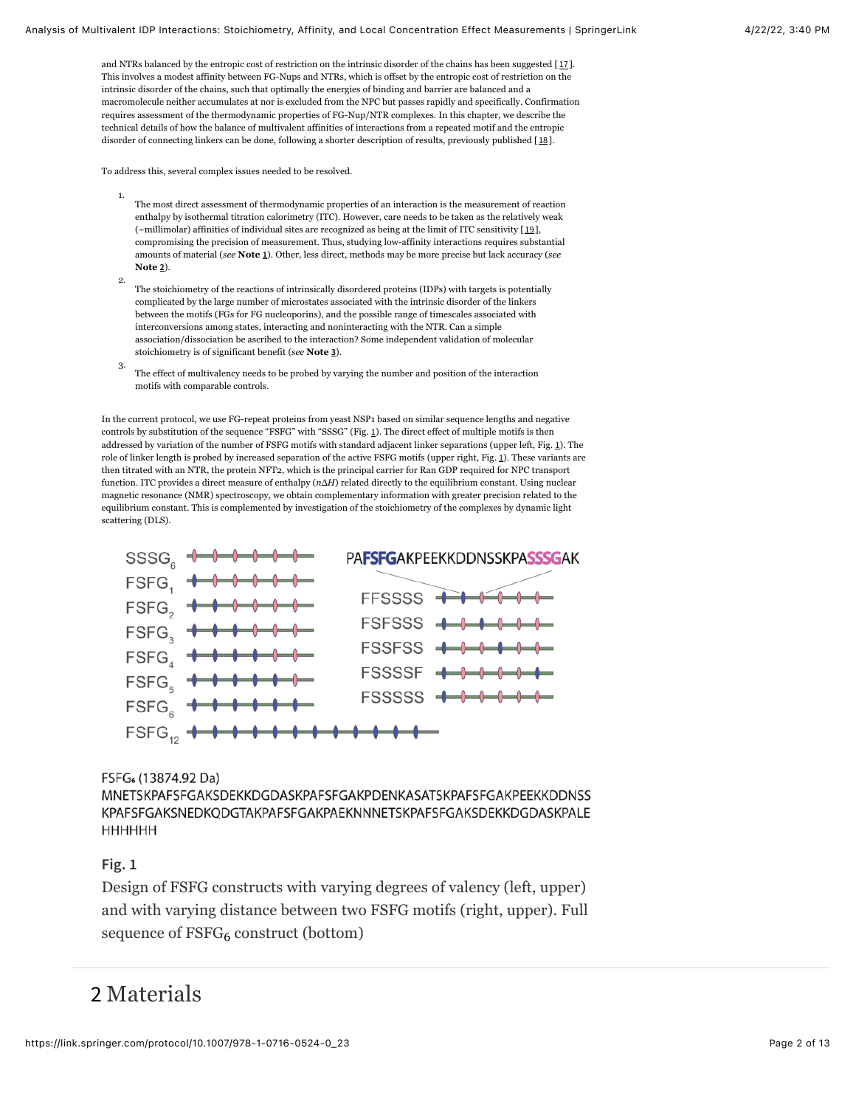and NTRs balanced by the entropic cost of restriction on the intrinsic disorder of the chains has been suggested  $[11]$ . This involves a modest affinity between FG-Nups and NTRs, which is offset by the entropic cost of restriction on the intrinsic disorder of the chains, such that optimally the energies of binding and barrier are balanced and a macromolecule neither accumulates at nor is excluded from the NPC but passes rapidly and specifically. Confirmation requires assessment of the thermodynamic properties of FG-Nup/NTR complexes. In this chapter, we describe the technical details of how the balance of multivalent affinities of interactions from a repeated motif and the entropic disorder of connecting linkers can be done, following a shorter description of results, previously published [[18](#page-9-7)].

To address this, several complex issues needed to be resolved.

- 1. The most direct assessment of thermodynamic properties of an interaction is the measurement of reaction enthalpy by isothermal titration calorimetry (ITC). However, care needs to be taken as the relatively weak (~millimolar) affinities of individual sites are recognized as being at the limit of ITC sensitivity [[19](#page-9-8)], compromising the precision of measurement. Thus, studying low-affinity interactions requires substantial amounts of material (*see* **Note [1](#page-7-0)**). Other, less direct, methods may be more precise but lack accuracy (*see* **Note [2](#page-7-0)**).
- 2. The stoichiometry of the reactions of intrinsically disordered proteins (IDPs) with targets is potentially complicated by the large number of microstates associated with the intrinsic disorder of the linkers between the motifs (FGs for FG nucleoporins), and the possible range of timescales associated with interconversions among states, interacting and noninteracting with the NTR. Can a simple association/dissociation be ascribed to the interaction? Some independent validation of molecular stoichiometry is of significant benefit (*see* **Note [3](#page-7-0)**).
- 3. The effect of multivalency needs to be probed by varying the number and position of the interaction motifs with comparable controls.

In the current protocol, we use FG-repeat proteins from yeast NSP1 based on similar sequence lengths and negative controls by substitution of the sequence "FSFG" with "SSSG" (Fig. [1](#page-1-0)). The direct effect of multiple motifs is then addressed by variation of the number of FSFG motifs with standard adjacent linker separations (upper left, Fig. [1](#page-1-0)). The role of linker length is probed by increased separation of the active FSFG motifs (upper right, Fig. [1](#page-1-0)). These variants are then titrated with an NTR, the protein NFT2, which is the principal carrier for Ran GDP required for NPC transport function. ITC provides a direct measure of enthalpy (*n*Δ*H*) related directly to the equilibrium constant. Using nuclear magnetic resonance (NMR) spectroscopy, we obtain complementary information with greater precision related to the equilibrium constant. This is complemented by investigation of the stoichiometry of the complexes by dynamic light scattering (DLS).

<span id="page-1-0"></span>

FSFG<sub>6</sub> (13874.92 Da)

MNETSKPAFSFGAKSDEKKDGDASKPAFSFGAKPDENKASATSKPAFSFGAKPEEKKDDNSS KPAFSFGAKSNEDKQDGTAKPAFSFGAKPAEKNNNETSKPAFSFGAKSDEKKDGDASKPALE НННННН

## **Fig. 1**

Design of FSFG constructs with varying degrees of valency (left, upper) and with varying distance between two FSFG motifs (right, upper). Full sequence of FSFG<sub>6</sub> construct (bottom)

## 2 Materials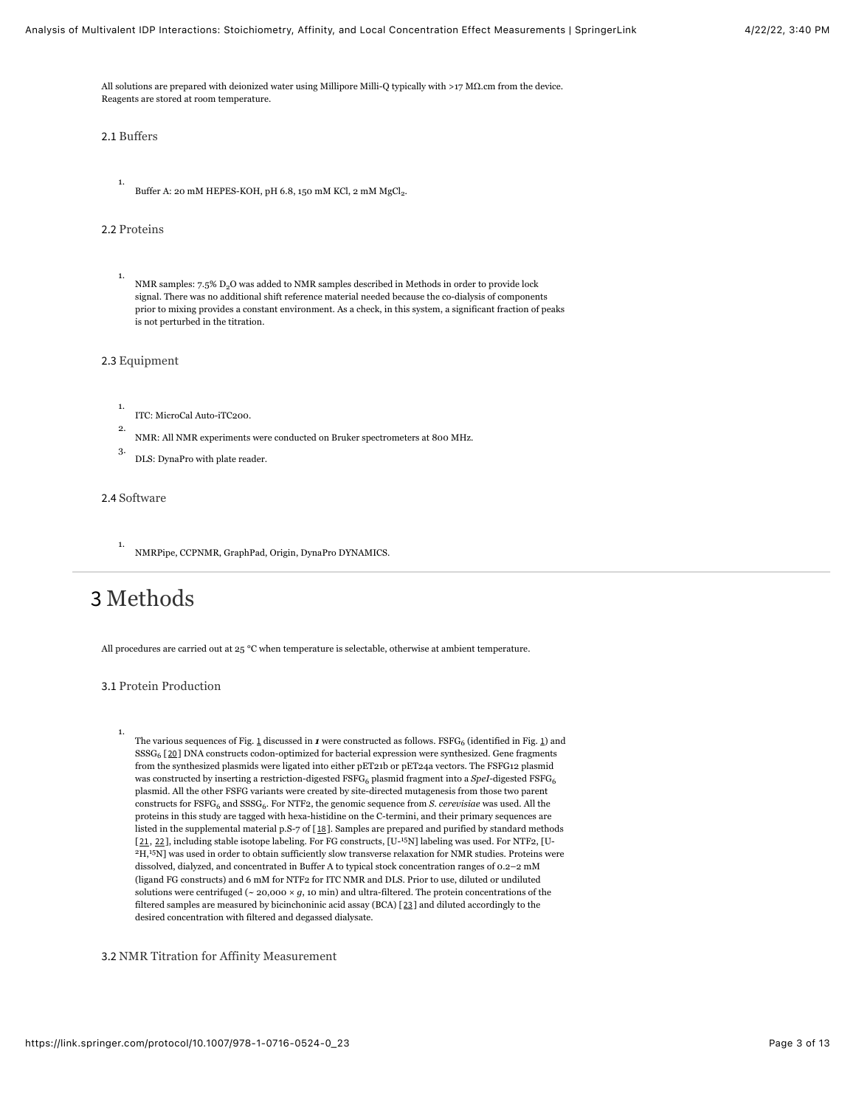All solutions are prepared with deionized water using Millipore Milli-Q typically with >17 MΩ.cm from the device. Reagents are stored at room temperature.

2.1 Buffers

1.

Buffer A: 20 mM HEPES-KOH, pH 6.8, 150 mM KCl, 2 mM MgCl2.

#### 2.2 Proteins

1. NMR samples:  $7.5\%$  D<sub>2</sub>O was added to NMR samples described in Methods in order to provide lock signal. There was no additional shift reference material needed because the co-dialysis of components prior to mixing provides a constant environment. As a check, in this system, a significant fraction of peaks is not perturbed in the titration.

2.3 Equipment

1. ITC: MicroCal Auto-iTC200.

- 2. NMR: All NMR experiments were conducted on Bruker spectrometers at 800 MHz.
- 3. DLS: DynaPro with plate reader.

#### 2.4 Software

1. NMRPipe, CCPNMR, GraphPad, Origin, DynaPro DYNAMICS.

# 3 Methods

1.

All procedures are carried out at 25 °C when temperature is selectable, otherwise at ambient temperature.

#### 3.1 Protein Production

The various sequences of Fig. <u>[1](#page-1-0)</u> discussed in **1** were constructed as follows. FSFG<sub>6</sub> (identified in Fig. <u>1</u>) and SSSG<sub>6</sub> [[20](#page-9-9)] DNA constructs codon-optimized for bacterial expression were synthesized. Gene fragments from the synthesized plasmids were ligated into either pET21b or pET24a vectors. The FSFG12 plasmid was constructed by inserting a restriction-digested FSFG<sub>6</sub> plasmid fragment into a *SpeI-*digested FSFG<sub>6</sub> plasmid. All the other FSFG variants were created by site-directed mutagenesis from those two parent constructs for FSFG<sub>6</sub> and SSSG<sub>6</sub>. For NTF2, the genomic sequence from *S. cerevisiae* was used. All the proteins in this study are tagged with hexa-histidine on the C-termini, and their primary sequences are listed in the supplemental material p.S-7 of [[18](#page-9-7)]. Samples are prepared and purified by standard methods  $[21, 22]$  $[21, 22]$  $[21, 22]$  $[21, 22]$  $[21, 22]$ , including stable isotope labeling. For FG constructs,  $[U^{-15}N]$  labeling was used. For NTF2, [U- $H^2$ ,  $H^1$ <sup>5</sup>N] was used in order to obtain sufficiently slow transverse relaxation for NMR studies. Proteins were dissolved, dialyzed, and concentrated in Buffer A to typical stock concentration ranges of 0.2–2 mM (ligand FG constructs) and 6 mM for NTF2 for ITC NMR and DLS. Prior to use, diluted or undiluted solutions were centrifuged ( $\sim$  20,000  $\times$  *g*, 10 min) and ultra-filtered. The protein concentrations of the filtered samples are measured by bicinchoninic acid assay (BCA) [[23](#page-10-2)] and diluted accordingly to the desired concentration with filtered and degassed dialysate.

3.2 NMR Titration for Affinity Measurement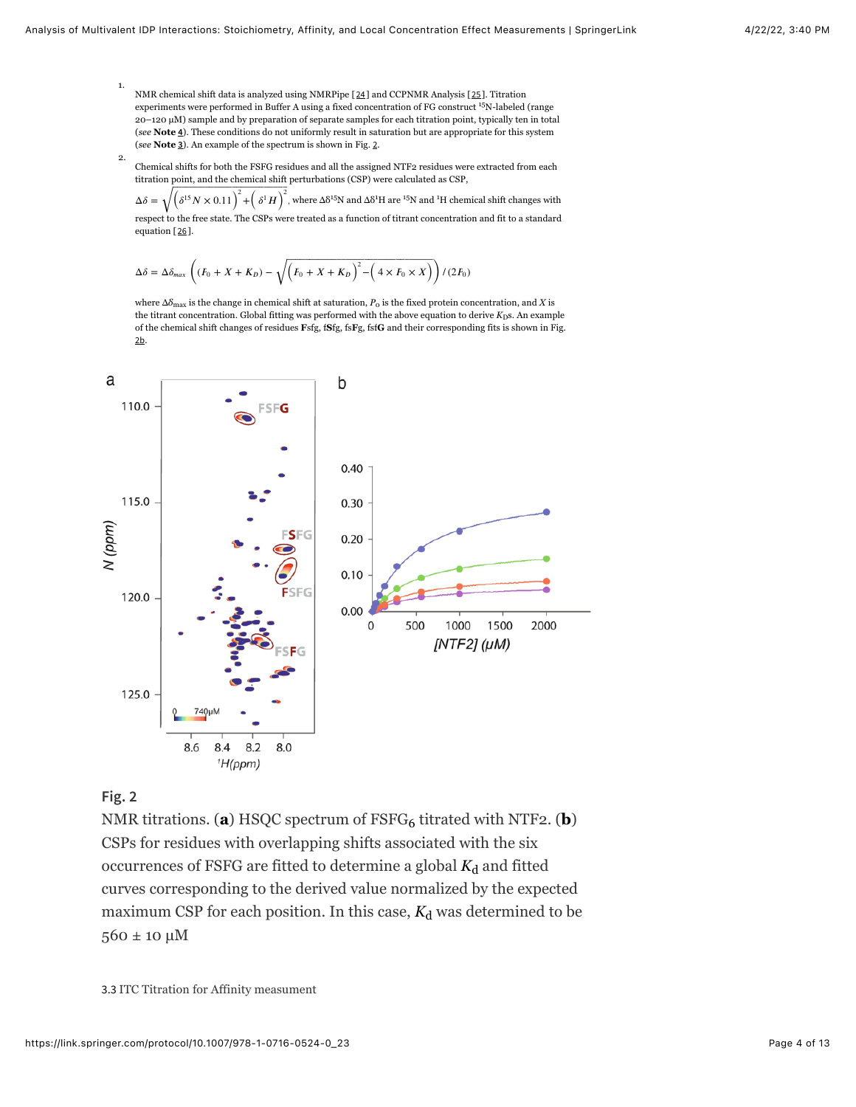- 1. NMR chemical shift data is analyzed using NMRPipe [[24](#page-10-3)] and CCPNMR Analysis [[25](#page-10-4)]. Titration experiments were performed in Buffer A using a fixed concentration of FG construct <sup>15</sup>N-labeled (range 20–120 µM) sample and by preparation of separate samples for each titration point, typically ten in total (*see* **Note [4](#page-7-0)**). These conditions do not uniformly result in saturation but are appropriate for this system (*see* **Note [3](#page-7-0)**). An example of the spectrum is shown in Fig. [2](#page-3-0).
- 2. Chemical shifts for both the FSFG residues and all the assigned NTF2 residues were extracted from each titration point, and the chemical shift perturbations (CSP) were calculated as CSP,

 $\Delta\delta = \sqrt{\left(\delta^{15}N\times0.11\right)^2+\left(\delta^{1}H\right)^2}$ , where  $\Delta\delta^{15}N$  and  $\Delta\delta^{1}H$  are  $^{15}N$  and  $^{1}H$  chemical shift changes with respect to the free state. The CSPs were treated as a function of titrant concentration and fit to a standard equation [[26](#page-10-5)].

$$
\Delta \delta = \Delta \delta_{max} \left( (F_0 + X + K_D) - \sqrt{\left(F_0 + X + K_D\right)^2 - \left(4 \times F_0 \times X\right)} \right) / (2F_0)
$$

where  $\Delta\delta_{\max}$  is the change in chemical shift at saturation,  $P_{\rm o}$  is the fixed protein concentration, and  $X$  is the titrant concentration. Global fitting was performed with the above equation to derive  $K_{\rm D}$ s. An example of the chemical shift changes of residues **F**sfg, f**S**fg, fs**F**g, fsf**G** and their corresponding fits is shown in Fig. [2b](#page-3-0).

<span id="page-3-0"></span>

## **Fig. 2**

NMR titrations. (**a**) HSQC spectrum of FSFG<sub>6</sub> titrated with NTF2. (**b**) CSPs for residues with overlapping shifts associated with the six occurrences of FSFG are fitted to determine a global  $K_{\mathrm{d}}$  and fitted curves corresponding to the derived value normalized by the expected maximum CSP for each position. In this case,  $K_d$  was determined to be 560 ± 10 µM

<span id="page-3-1"></span>3.3 ITC Titration for Affinity measument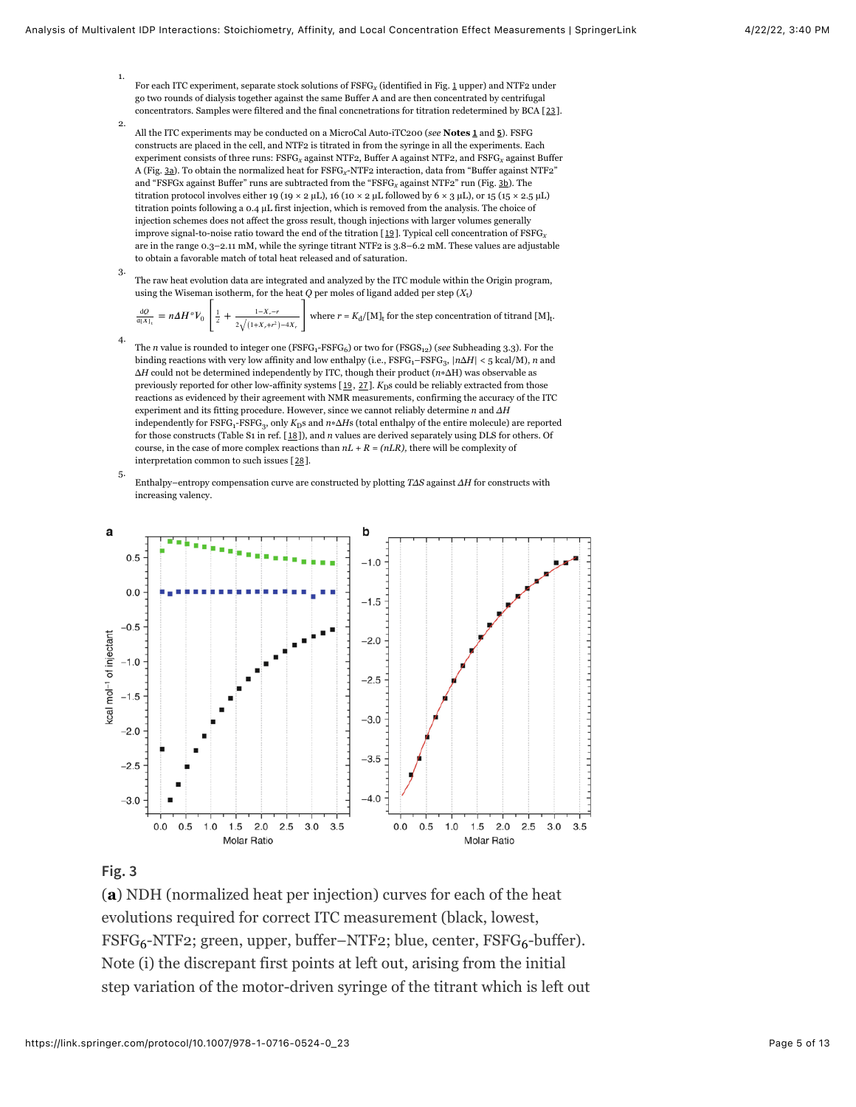- 1. For each ITC experiment, separate stock solutions of FSFG<sub>x</sub> (identified in Fig. <u>[1](#page-1-0)</u> upper) and NTF2 under go two rounds of dialysis together against the same Buffer A and are then concentrated by centrifugal concentrators. Samples were filtered and the final concnetrations for titration redetermined by BCA [[23](#page-10-2)].
- 2. All the ITC experiments may be conducted on a MicroCal Auto-iTC200 (*see* **Notes [1](#page-7-0)** and **[5](#page-7-0)**). FSFG constructs are placed in the cell, and NTF2 is titrated in from the syringe in all the experiments. Each experiment consists of three runs:  $\text{FSFG}_{\text{x}}$  against NTF2, Buffer A against NTF2, and  $\text{FSFG}_{\text{x}}$  against Buffer A (Fig. <u>[3a](#page-4-0)</u>). To obtain the normalized heat for FSFG<sub>x</sub>-NTF2 interaction, data from "Buffer against NTF2" and "FSFGx against Buffer" runs are subtracted from the "FSFG<sub>x</sub> against NTF2" run (Fig. <u>[3b](#page-4-0)</u>). The titration protocol involves either 19 (19 × 2 µL), 16 (10 × 2 µL followed by 6 × 3 µL), or 15 (15 × 2.5 µL) titration points following a 0.4 µL first injection, which is removed from the analysis. The choice of injection schemes does not affect the gross result, though injections with larger volumes generally improve signal-to-noise ratio toward the end of the titration [[19](#page-9-8)]. Typical cell concentration of FSFG *x* are in the range 0.3–2.11 mM, while the syringe titrant NTF2 is 3.8–6.2 mM. These values are adjustable to obtain a favorable match of total heat released and of saturation.
- 3. The raw heat evolution data are integrated and analyzed by the ITC module within the Origin program, using the Wiseman isotherm, for the heat  $Q$  per moles of ligand added per step  $(X_t)$

where  $r = K_d / [M]_t$  for the step concentration of titrand  $[M]_t$ .  $= n\Delta H^{\circ}V_0 \left[ \frac{1}{2} + \frac{1-X_{\cdot}-r}{2\sqrt{(1+X_{\cdot}+r^2)-4X_{\cdot} }} \right]$  $rac{dO}{d[X]_t} = n\Delta H^oV_0 \left| \frac{1}{2}\right|$ 2 2  $\sqrt{(1+X_r+r^2)}$  –4*X*,

- The *n* value is rounded to integer one (FSFG<sub>1</sub>-FSFG<sub>6</sub>) or two for (FSGS<sub>12</sub>) (*see* Subheading 3.3). For the binding reactions with very low affinity and low enthalpy (i.e.,  $\text{FSFG}_{1}\text{-FSFG}_{3},$   $|n\Delta H| < 5$  kcal/M),  $n$  and Δ*H* could not be determined independently by ITC, though their product (*n*∗ΔH) was observable as previously reported for other low-affinity systems [[19](#page-9-8), [27](#page-10-6)]. *K*<sub>D</sub>s could be reliably extracted from those reactions as evidenced by their agreement with NMR measurements, confirming the accuracy of the ITC experiment and its fitting procedure. However, since we cannot reliably determine *n* and *ΔH* independently for  $\mathrm{FSFG_{1^-}FSFG_{3}}$ , only  $K_\mathrm{D}$ s and  $n* \Delta H$ s (total enthalpy of the entire molecule) are reported for those constructs (Table S1 in ref. [[18](#page-9-7)]), and *n* values are derived separately using DLS for others. Of course, in the case of more complex reactions than  $nL + R = (nLR)$ , there will be complexity of interpretation common to such issues [[28](#page-10-7)].
- 5. Enthalpy–entropy compensation curve are constructed by plotting *TΔS* against *ΔH* for constructs with increasing valency.

<span id="page-4-0"></span>

### **Fig. 3**

4.

(**a**) NDH (normalized heat per injection) curves for each of the heat evolutions required for correct ITC measurement (black, lowest, FSFG<sub>6</sub>-NTF2; green, upper, buffer–NTF2; blue, center, FSFG<sub>6</sub>-buffer). Note (i) the discrepant first points at left out, arising from the initial step variation of the motor-driven syringe of the titrant which is left out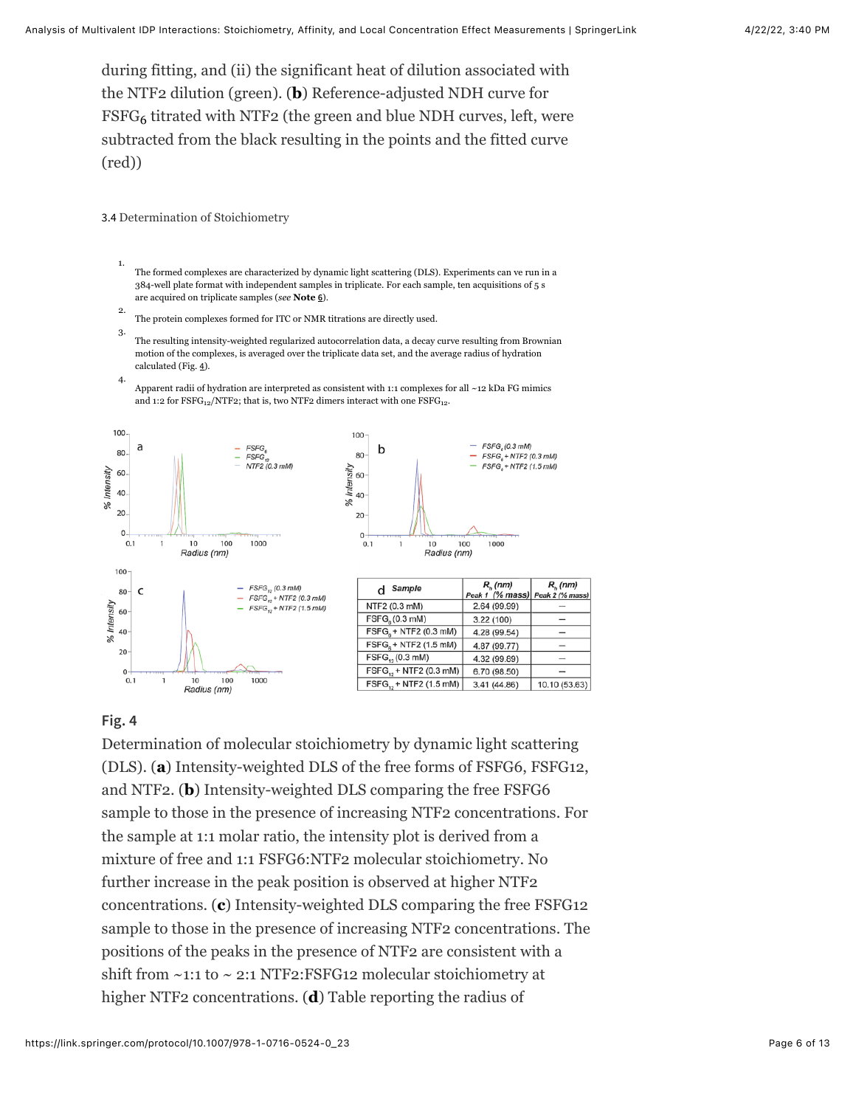during fitting, and (ii) the significant heat of dilution associated with the NTF2 dilution (green). (**b**) Reference-adjusted NDH curve for  $\text{FSFG}_6$  titrated with NTF2 (the green and blue NDH curves, left, were subtracted from the black resulting in the points and the fitted curve (red))

3.4 Determination of Stoichiometry

- 1. The formed complexes are characterized by dynamic light scattering (DLS). Experiments can ve run in a 384-well plate format with independent samples in triplicate. For each sample, ten acquisitions of 5 s are acquired on triplicate samples (*see* **Note [6](#page-7-0)**).
- 2. The protein complexes formed for ITC or NMR titrations are directly used.
- 3. The resulting intensity-weighted regularized autocorrelation data, a decay curve resulting from Brownian motion of the complexes, is averaged over the triplicate data set, and the average radius of hydration calculated (Fig. [4](#page-5-0)).
- 4. Apparent radii of hydration are interpreted as consistent with 1:1 complexes for all ~12 kDa FG mimics and 1:2 for  $FSFG_{12}/NTF2$ ; that is, two NTF2 dimers interact with one  $FSFG_{12}$ .

<span id="page-5-0"></span>

#### **Fig. 4**

Determination of molecular stoichiometry by dynamic light scattering (DLS). (**a**) Intensity-weighted DLS of the free forms of FSFG6, FSFG12, and NTF2. (**b**) Intensity-weighted DLS comparing the free FSFG6 sample to those in the presence of increasing NTF2 concentrations. For the sample at 1:1 molar ratio, the intensity plot is derived from a mixture of free and 1:1 FSFG6:NTF2 molecular stoichiometry. No further increase in the peak position is observed at higher NTF2 concentrations. (**c**) Intensity-weighted DLS comparing the free FSFG12 sample to those in the presence of increasing NTF2 concentrations. The positions of the peaks in the presence of NTF2 are consistent with a shift from ~1:1 to ~ 2:1 NTF2:FSFG12 molecular stoichiometry at higher NTF2 concentrations. (**d**) Table reporting the radius of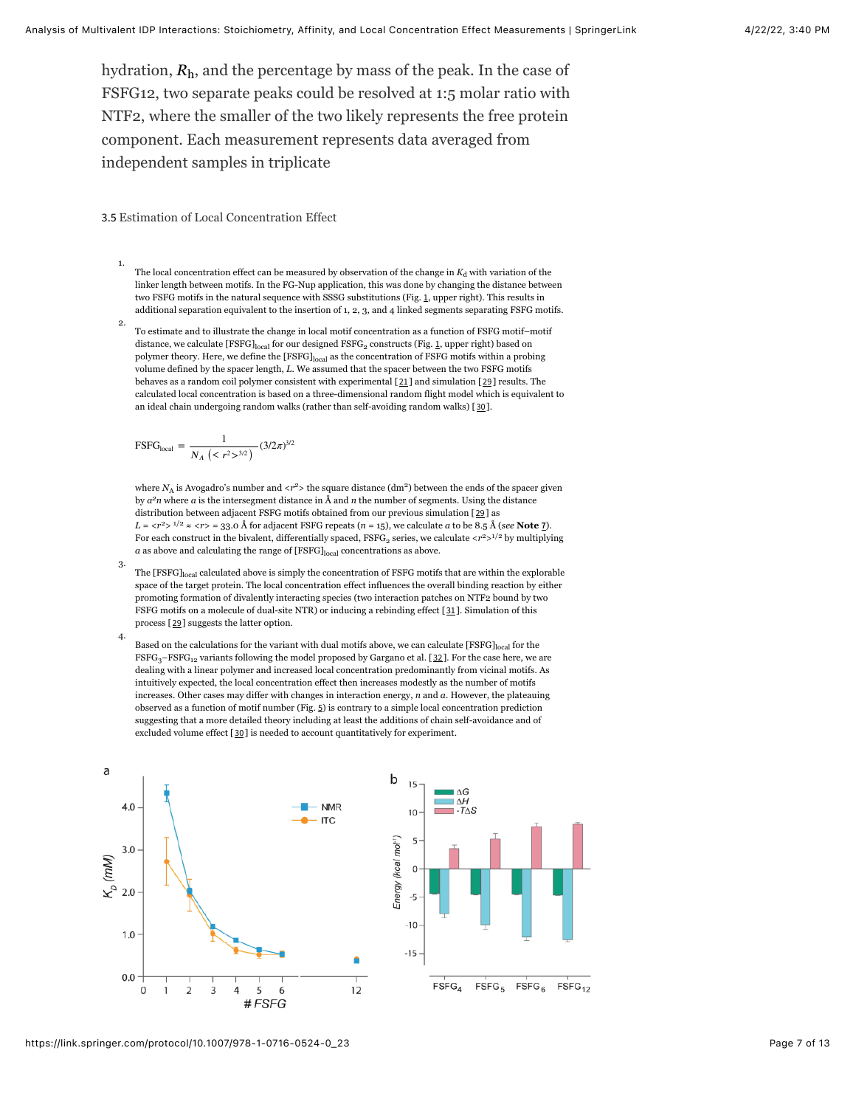hydration,  $R_{\rm h}$ , and the percentage by mass of the peak. In the case of FSFG12, two separate peaks could be resolved at 1:5 molar ratio with NTF2, where the smaller of the two likely represents the free protein component. Each measurement represents data averaged from independent samples in triplicate

3.5 Estimation of Local Concentration Effect

- 1. The local concentration effect can be measured by observation of the change in  $K_d$  with variation of the linker length between motifs. In the FG-Nup application, this was done by changing the distance between two FSFG motifs in the natural sequence with SSSG substitutions (Fig. [1](#page-1-0), upper right). This results in additional separation equivalent to the insertion of 1, 2, 3, and 4 linked segments separating FSFG motifs.
- 2. To estimate and to illustrate the change in local motif concentration as a function of FSFG motif–motif distance, we calculate  $[FSFG]_{local}$  for our designed  $FSFG_2$  constructs (Fig. [1](#page-1-0), upper right) based on polymer theory. Here, we define the [FSFG]<sub>local</sub> as the concentration of FSFG motifs within a probing volume defined by the spacer length, *L*. We assumed that the spacer between the two FSFG motifs behaves as a random coil polymer consistent with experimental [[21](#page-10-0)] and simulation [[29](#page-10-8)] results. The calculated local concentration is based on a three-dimensional random flight model which is equivalent to an ideal chain undergoing random walks (rather than self-avoiding random walks) [[30](#page-10-9)].

$$
FSFGlocal = \frac{1}{N_A (< r^2 >^{3/2})} (3/2\pi)^{3/2}
$$

where  $N_A$  is Avogadro's number and  $\langle r^2 \rangle$  the square distance (dm<sup>2</sup>) between the ends of the spacer given by  $a^2n$  where *a* is the intersegment distance in Å and *n* the number of segments. Using the distance distribution between adjacent FSFG motifs obtained from our previous simulation [[29](#page-10-8)] as  $L = \langle r^2 \rangle$  <sup>1/2</sup>  $\approx \langle r \rangle = 33.0$  Å for adjacent FSFG repeats (*n* = 15), we calculate *a* to be 8.5 Å (*see* **Note** <u>[7](#page-7-0)</u></u>). For each construct in the bivalent, differentially spaced,  $\text{FSFG}_2$  series, we calculate  $\langle r^2 \rangle^{1/2}$  by multiplying  $a$  as above and calculating the range of  $[\mathrm{FSFG}]_{\mathrm{local}}$  concentrations as above.

- 3. The [FSFG]<sub>local</sub> calculated above is simply the concentration of FSFG motifs that are within the explorable space of the target protein. The local concentration effect influences the overall binding reaction by either promoting formation of divalently interacting species (two interaction patches on NTF2 bound by two FSFG motifs on a molecule of dual-site NTR) or inducing a rebinding effect [[31](#page-10-10)]. Simulation of this process [[29](#page-10-8)] suggests the latter option.
- 4. Based on the calculations for the variant with dual motifs above, we can calculate [FSFG] local for the  $FSFG_{3}-FSFG_{12}$  variants following the model proposed by Gargano et al. [[32](#page-11-1)]. For the case here, we are dealing with a linear polymer and increased local concentration predominantly from vicinal motifs. As intuitively expected, the local concentration effect then increases modestly as the number of motifs increases. Other cases may differ with changes in interaction energy, *n* and *a*. However, the plateauing observed as a function of motif number (Fig. [5](#page-6-0)) is contrary to a simple local concentration prediction suggesting that a more detailed theory including at least the additions of chain self-avoidance and of excluded volume effect [[30](#page-10-9)] is needed to account quantitatively for experiment.

<span id="page-6-0"></span>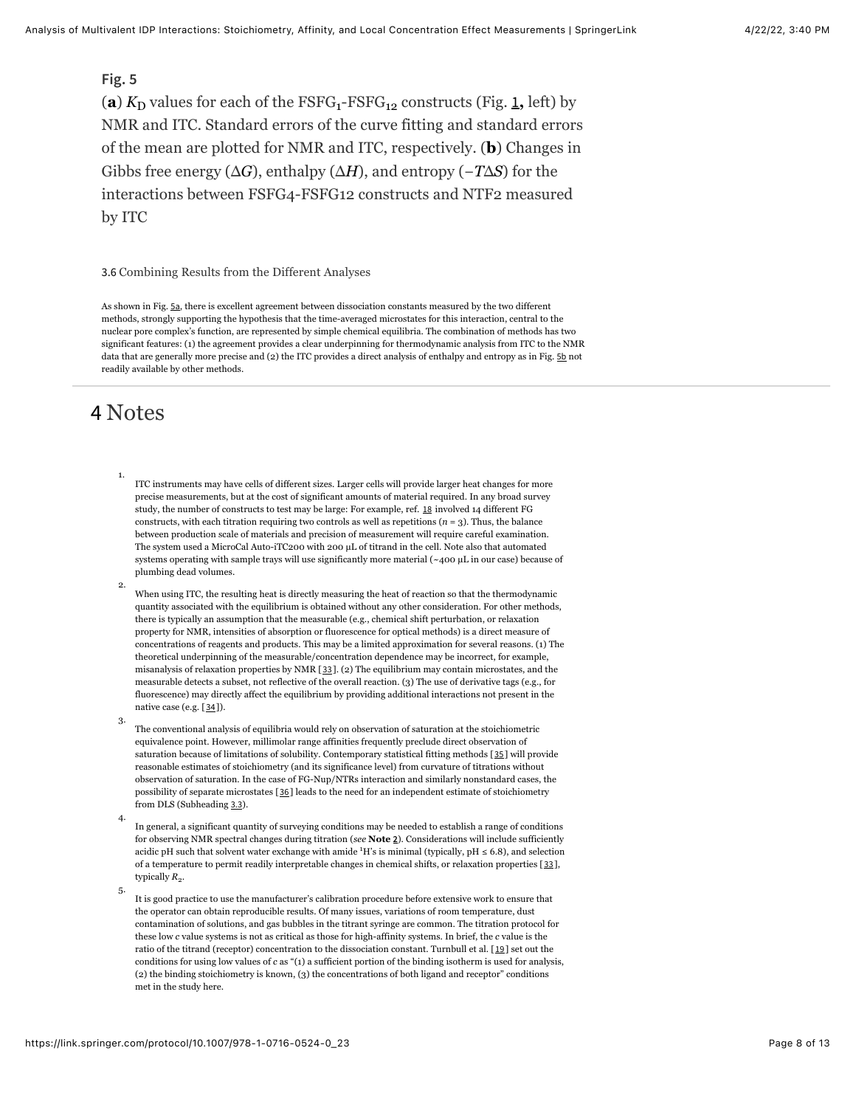## **Fig. 5**

(a)  $K_D$  values for each of the  $FSFG_1-FSFG_{12}$  $FSFG_1-FSFG_{12}$  $FSFG_1-FSFG_{12}$  constructs (Fig. 1, left) by NMR and ITC. Standard errors of the curve fitting and standard errors of the mean are plotted for NMR and ITC, respectively. (**b**) Changes in Gibbs free energy (Δ*G*), enthalpy (Δ*H*), and entropy (−*T*Δ*S*) for the interactions between FSFG4-FSFG12 constructs and NTF2 measured by ITC

3.6 Combining Results from the Different Analyses

As shown in Fig. [5a](#page-6-0), there is excellent agreement between dissociation constants measured by the two different methods, strongly supporting the hypothesis that the time-averaged microstates for this interaction, central to the nuclear pore complex's function, are represented by simple chemical equilibria. The combination of methods has two significant features: (1) the agreement provides a clear underpinning for thermodynamic analysis from ITC to the NMR data that are generally more precise and (2) the ITC provides a direct analysis of enthalpy and entropy as in Fig. [5b](#page-6-0) not readily available by other methods.

# <span id="page-7-0"></span>4 Notes

- 1. ITC instruments may have cells of different sizes. Larger cells will provide larger heat changes for more precise measurements, but at the cost of significant amounts of material required. In any broad survey study, the number of constructs to test may be large: For example, ref. [18](#page-9-7) involved 14 different FG constructs, with each titration requiring two controls as well as repetitions  $(n = 3)$ . Thus, the balance between production scale of materials and precision of measurement will require careful examination. The system used a MicroCal Auto-iTC200 with 200 µL of titrand in the cell. Note also that automated systems operating with sample trays will use significantly more material (~400 µL in our case) because of plumbing dead volumes.
- 2. When using ITC, the resulting heat is directly measuring the heat of reaction so that the thermodynamic quantity associated with the equilibrium is obtained without any other consideration. For other methods, there is typically an assumption that the measurable (e.g., chemical shift perturbation, or relaxation property for NMR, intensities of absorption or fluorescence for optical methods) is a direct measure of concentrations of reagents and products. This may be a limited approximation for several reasons. (1) The theoretical underpinning of the measurable/concentration dependence may be incorrect, for example, misanalysis of relaxation properties by NMR [[33](#page-11-2)]. (2) The equilibrium may contain microstates, and the measurable detects a subset, not reflective of the overall reaction. (3) The use of derivative tags (e.g., for fluorescence) may directly affect the equilibrium by providing additional interactions not present in the native case (e.g. [[34](#page-11-3)]).
- 3. The conventional analysis of equilibria would rely on observation of saturation at the stoichiometric equivalence point. However, millimolar range affinities frequently preclude direct observation of saturation because of limitations of solubility. Contemporary statistical fitting methods [[35](#page-11-4)] will provide reasonable estimates of stoichiometry (and its significance level) from curvature of titrations without observation of saturation. In the case of FG-Nup/NTRs interaction and similarly nonstandard cases, the possibility of separate microstates [[36](#page-11-5)] leads to the need for an independent estimate of stoichiometry from DLS (Subheading [3.3](#page-3-1)).
- 4. In general, a significant quantity of surveying conditions may be needed to establish a range of conditions for observing NMR spectral changes during titration (*see* **Note [2](#page-7-0)**). Considerations will include sufficiently acidic pH such that solvent water exchange with amide  $^1$ H's is minimal (typically, pH  $\leq 6.8$ ), and selection of a temperature to permit readily interpretable changes in chemical shifts, or relaxation properties [[33](#page-11-2)], typically  $R_2$ .
- 5. It is good practice to use the manufacturer's calibration procedure before extensive work to ensure that the operator can obtain reproducible results. Of many issues, variations of room temperature, dust contamination of solutions, and gas bubbles in the titrant syringe are common. The titration protocol for these low *c* value systems is not as critical as those for high-affinity systems. In brief, the *c* value is the ratio of the titrand (receptor) concentration to the dissociation constant. Turnbull et al. [[19](#page-9-8)] set out the conditions for using low values of *c* as "(1) a sufficient portion of the binding isotherm is used for analysis, (2) the binding stoichiometry is known, (3) the concentrations of both ligand and receptor" conditions met in the study here.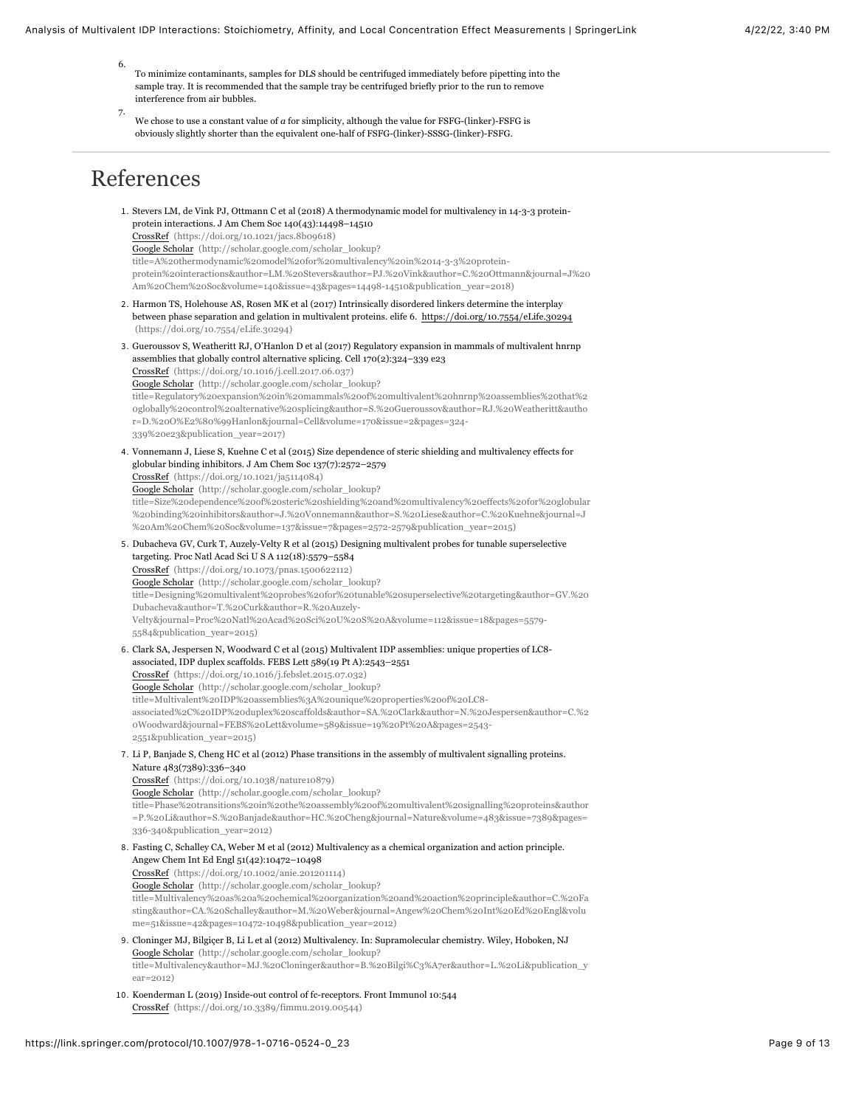- 6. To minimize contaminants, samples for DLS should be centrifuged immediately before pipetting into the sample tray. It is recommended that the sample tray be centrifuged briefly prior to the run to remove interference from air bubbles.
- 7. We chose to use a constant value of *a* for simplicity, although the value for FSFG-(linker)-FSFG is obviously slightly shorter than the equivalent one-half of FSFG-(linker)-SSSG-(linker)-FSFG.

# References

<span id="page-8-9"></span><span id="page-8-8"></span><span id="page-8-7"></span><span id="page-8-6"></span><span id="page-8-5"></span><span id="page-8-4"></span><span id="page-8-3"></span><span id="page-8-2"></span><span id="page-8-1"></span><span id="page-8-0"></span>1. Stevers LM, de Vink PJ, Ottmann C et al (2018) A thermodynamic model for multivalency in 14-3-3 proteinprotein interactions. J Am Chem Soc 140(43):14498–14510 [CrossRef \(https://doi.org/10.1021/jacs.8b09618\)](https://doi.org/10.1021/jacs.8b09618) Google Scholar (http://scholar.google.com/scholar\_lookup? title=A%20thermodynamic%20model%20for%20multivalency%20in%2014-3-3%20protein[protein%20interactions&author=LM.%20Stevers&author=PJ.%20Vink&author=C.%20Ottmann&journal=J%20](http://scholar.google.com/scholar_lookup?title=A%20thermodynamic%20model%20for%20multivalency%20in%2014-3-3%20protein-protein%20interactions&author=LM.%20Stevers&author=PJ.%20Vink&author=C.%20Ottmann&journal=J%20Am%20Chem%20Soc&volume=140&issue=43&pages=14498-14510&publication_year=2018) Am%20Chem%20Soc&volume=140&issue=43&pages=14498-14510&publication\_year=2018) 2. Harmon TS, Holehouse AS, Rosen MK et al (2017) Intrinsically disordered linkers determine the interplay [between phase separation and gelation in multivalent proteins. elife 6. https://doi.org/10.7554/eLife.30294](https://doi.org/10.7554/eLife.30294) (https://doi.org/10.7554/eLife.30294) 3. Gueroussov S, Weatheritt RJ, O'Hanlon D et al (2017) Regulatory expansion in mammals of multivalent hnrnp assemblies that globally control alternative splicing. Cell 170(2):324–339 e23 [CrossRef \(https://doi.org/10.1016/j.cell.2017.06.037\)](https://doi.org/10.1016/j.cell.2017.06.037) Google Scholar (http://scholar.google.com/scholar\_lookup? [title=Regulatory%20expansion%20in%20mammals%20of%20multivalent%20hnrnp%20assemblies%20that%2](http://scholar.google.com/scholar_lookup?title=Regulatory%20expansion%20in%20mammals%20of%20multivalent%20hnrnp%20assemblies%20that%20globally%20control%20alternative%20splicing&author=S.%20Gueroussov&author=RJ.%20Weatheritt&author=D.%20O%E2%80%99Hanlon&journal=Cell&volume=170&issue=2&pages=324-339%20e23&publication_year=2017) 0globally%20control%20alternative%20splicing&author=S.%20Gueroussov&author=RJ.%20Weatheritt&autho r=D.%20O%E2%80%99Hanlon&journal=Cell&volume=170&issue=2&pages=324- 339%20e23&publication\_year=2017) 4. Vonnemann J, Liese S, Kuehne C et al (2015) Size dependence of steric shielding and multivalency effects for globular binding inhibitors. J Am Chem Soc 137(7):2572–2579 [CrossRef \(https://doi.org/10.1021/ja5114084\)](https://doi.org/10.1021/ja5114084) Google Scholar (http://scholar.google.com/scholar\_lookup? [title=Size%20dependence%20of%20steric%20shielding%20and%20multivalency%20effects%20for%20globular](http://scholar.google.com/scholar_lookup?title=Size%20dependence%20of%20steric%20shielding%20and%20multivalency%20effects%20for%20globular%20binding%20inhibitors&author=J.%20Vonnemann&author=S.%20Liese&author=C.%20Kuehne&journal=J%20Am%20Chem%20Soc&volume=137&issue=7&pages=2572-2579&publication_year=2015) %20binding%20inhibitors&author=J.%20Vonnemann&author=S.%20Liese&author=C.%20Kuehne&journal=J %20Am%20Chem%20Soc&volume=137&issue=7&pages=2572-2579&publication\_year=2015) 5. Dubacheva GV, Curk T, Auzely-Velty R et al (2015) Designing multivalent probes for tunable superselective targeting. Proc Natl Acad Sci U S A 112(18):5579–5584 [CrossRef \(https://doi.org/10.1073/pnas.1500622112\)](https://doi.org/10.1073/pnas.1500622112) Google Scholar (http://scholar.google.com/scholar\_lookup? [title=Designing%20multivalent%20probes%20for%20tunable%20superselective%20targeting&author=GV.%20](http://scholar.google.com/scholar_lookup?title=Designing%20multivalent%20probes%20for%20tunable%20superselective%20targeting&author=GV.%20Dubacheva&author=T.%20Curk&author=R.%20Auzely-Velty&journal=Proc%20Natl%20Acad%20Sci%20U%20S%20A&volume=112&issue=18&pages=5579-5584&publication_year=2015) Dubacheva&author=T.%20Curk&author=R.%20Auzely-Velty&journal=Proc%20Natl%20Acad%20Sci%20U%20S%20A&volume=112&issue=18&pages=5579- 5584&publication\_year=2015) 6. Clark SA, Jespersen N, Woodward C et al (2015) Multivalent IDP assemblies: unique properties of LC8 associated, IDP duplex scaffolds. FEBS Lett 589(19 Pt A):2543–2551 [CrossRef \(https://doi.org/10.1016/j.febslet.2015.07.032\)](https://doi.org/10.1016/j.febslet.2015.07.032) Google Scholar (http://scholar.google.com/scholar\_lookup? title=Multivalent%20IDP%20assemblies%3A%20unique%20properties%20of%20LC8 [associated%2C%20IDP%20duplex%20scaffolds&author=SA.%20Clark&author=N.%20Jespersen&author=C.%2](http://scholar.google.com/scholar_lookup?title=Multivalent%20IDP%20assemblies%3A%20unique%20properties%20of%20LC8-associated%2C%20IDP%20duplex%20scaffolds&author=SA.%20Clark&author=N.%20Jespersen&author=C.%20Woodward&journal=FEBS%20Lett&volume=589&issue=19%20Pt%20A&pages=2543-2551&publication_year=2015) 0Woodward&journal=FEBS%20Lett&volume=589&issue=19%20Pt%20A&pages=2543- 2551&publication\_year=2015) 7. Li P, Banjade S, Cheng HC et al (2012) Phase transitions in the assembly of multivalent signalling proteins. Nature 483(7389):336–340 [CrossRef \(https://doi.org/10.1038/nature10879\)](https://doi.org/10.1038/nature10879) Google Scholar (http://scholar.google.com/scholar\_lookup? [title=Phase%20transitions%20in%20the%20assembly%20of%20multivalent%20signalling%20proteins&author](http://scholar.google.com/scholar_lookup?title=Phase%20transitions%20in%20the%20assembly%20of%20multivalent%20signalling%20proteins&author=P.%20Li&author=S.%20Banjade&author=HC.%20Cheng&journal=Nature&volume=483&issue=7389&pages=336-340&publication_year=2012) =P.%20Li&author=S.%20Banjade&author=HC.%20Cheng&journal=Nature&volume=483&issue=7389&pages= 336-340&publication\_year=2012) 8. Fasting C, Schalley CA, Weber M et al (2012) Multivalency as a chemical organization and action principle. Angew Chem Int Ed Engl 51(42):10472–10498 [CrossRef \(https://doi.org/10.1002/anie.201201114\)](https://doi.org/10.1002/anie.201201114) Google Scholar (http://scholar.google.com/scholar\_lookup? [title=Multivalency%20as%20a%20chemical%20organization%20and%20action%20principle&author=C.%20Fa](http://scholar.google.com/scholar_lookup?title=Multivalency%20as%20a%20chemical%20organization%20and%20action%20principle&author=C.%20Fasting&author=CA.%20Schalley&author=M.%20Weber&journal=Angew%20Chem%20Int%20Ed%20Engl&volume=51&issue=42&pages=10472-10498&publication_year=2012) sting&author=CA.%20Schalley&author=M.%20Weber&journal=Angew%20Chem%20Int%20Ed%20Engl&volu me=51&issue=42&pages=10472-10498&publication\_year=2012) 9. Cloninger MJ, Bilgiçer B, Li L et al (2012) Multivalency. In: Supramolecular chemistry. Wiley, Hoboken, NJ Google Scholar (http://scholar.google.com/scholar\_lookup? [title=Multivalency&author=MJ.%20Cloninger&author=B.%20Bilgi%C3%A7er&author=L.%20Li&publication\\_y](http://scholar.google.com/scholar_lookup?title=Multivalency&author=MJ.%20Cloninger&author=B.%20Bilgi%C3%A7er&author=L.%20Li&publication_year=2012) ear=2012) 10. Koenderman L (2019) Inside-out control of fc-receptors. Front Immunol 10:544 [CrossRef \(https://doi.org/10.3389/fimmu.2019.00544\)](https://doi.org/10.3389/fimmu.2019.00544)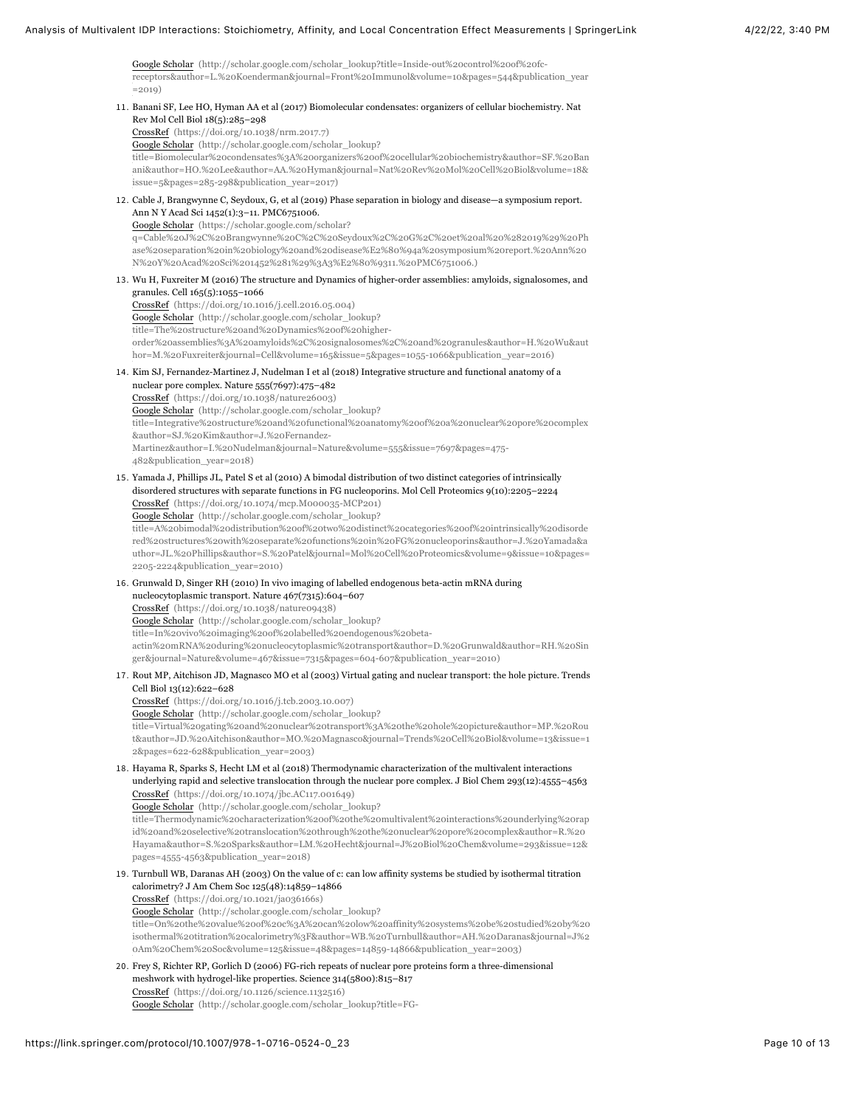Google Scholar (http://scholar.google.com/scholar\_lookup?title=Inside-out%20control%20of%20fc[receptors&author=L.%20Koenderman&journal=Front%20Immunol&volume=10&pages=544&publication\\_year](http://scholar.google.com/scholar_lookup?title=Inside-out%20control%20of%20fc-receptors&author=L.%20Koenderman&journal=Front%20Immunol&volume=10&pages=544&publication_year=2019)  $=2019)$ 

- <span id="page-9-4"></span><span id="page-9-3"></span><span id="page-9-2"></span><span id="page-9-1"></span><span id="page-9-0"></span>11. Banani SF, Lee HO, Hyman AA et al (2017) Biomolecular condensates: organizers of cellular biochemistry. Nat Rev Mol Cell Biol 18(5):285–298 [CrossRef \(https://doi.org/10.1038/nrm.2017.7\)](https://doi.org/10.1038/nrm.2017.7) Google Scholar (http://scholar.google.com/scholar\_lookup? [title=Biomolecular%20condensates%3A%20organizers%20of%20cellular%20biochemistry&author=SF.%20Ban](http://scholar.google.com/scholar_lookup?title=Biomolecular%20condensates%3A%20organizers%20of%20cellular%20biochemistry&author=SF.%20Banani&author=HO.%20Lee&author=AA.%20Hyman&journal=Nat%20Rev%20Mol%20Cell%20Biol&volume=18&issue=5&pages=285-298&publication_year=2017) ani&author=HO.%20Lee&author=AA.%20Hyman&journal=Nat%20Rev%20Mol%20Cell%20Biol&volume=18& issue=5&pages=285-298&publication\_year=2017) 12. Cable J, Brangwynne C, Seydoux, G, et al (2019) Phase separation in biology and disease—a symposium report. Ann N Y Acad Sci 1452(1):3–11. PMC6751006. Google Scholar (https://scholar.google.com/scholar? [q=Cable%20J%2C%20Brangwynne%20C%2C%20Seydoux%2C%20G%2C%20et%20al%20%282019%29%20Ph](https://scholar.google.com/scholar?q=Cable%20J%2C%20Brangwynne%20C%2C%20Seydoux%2C%20G%2C%20et%20al%20%282019%29%20Phase%20separation%20in%20biology%20and%20disease%E2%80%94a%20symposium%20report.%20Ann%20N%20Y%20Acad%20Sci%201452%281%29%3A3%E2%80%9311.%20PMC6751006.) ase%20separation%20in%20biology%20and%20disease%E2%80%94a%20symposium%20report.%20Ann%20 N%20Y%20Acad%20Sci%201452%281%29%3A3%E2%80%9311.%20PMC6751006.) 13. Wu H, Fuxreiter M (2016) The structure and Dynamics of higher-order assemblies: amyloids, signalosomes, and granules. Cell 165(5):1055–1066 [CrossRef \(https://doi.org/10.1016/j.cell.2016.05.004\)](https://doi.org/10.1016/j.cell.2016.05.004) Google Scholar (http://scholar.google.com/scholar\_lookup? title=The%20structure%20and%20Dynamics%20of%20higher[order%20assemblies%3A%20amyloids%2C%20signalosomes%2C%20and%20granules&author=H.%20Wu&aut](http://scholar.google.com/scholar_lookup?title=The%20structure%20and%20Dynamics%20of%20higher-order%20assemblies%3A%20amyloids%2C%20signalosomes%2C%20and%20granules&author=H.%20Wu&author=M.%20Fuxreiter&journal=Cell&volume=165&issue=5&pages=1055-1066&publication_year=2016) hor=M.%20Fuxreiter&journal=Cell&volume=165&issue=5&pages=1055-1066&publication\_year=2016) 14. Kim SJ, Fernandez-Martinez J, Nudelman I et al (2018) Integrative structure and functional anatomy of a nuclear pore complex. Nature 555(7697):475–482 [CrossRef \(https://doi.org/10.1038/nature26003\)](https://doi.org/10.1038/nature26003) Google Scholar (http://scholar.google.com/scholar\_lookup? [title=Integrative%20structure%20and%20functional%20anatomy%20of%20a%20nuclear%20pore%20complex](http://scholar.google.com/scholar_lookup?title=Integrative%20structure%20and%20functional%20anatomy%20of%20a%20nuclear%20pore%20complex&author=SJ.%20Kim&author=J.%20Fernandez-Martinez&author=I.%20Nudelman&journal=Nature&volume=555&issue=7697&pages=475-482&publication_year=2018) &author=SJ.%20Kim&author=J.%20Fernandez-Martinez&author=I.%20Nudelman&journal=Nature&volume=555&issue=7697&pages=475- 482&publication\_year=2018) 15. Yamada J, Phillips JL, Patel S et al (2010) A bimodal distribution of two distinct categories of intrinsically disordered structures with separate functions in FG nucleoporins. Mol Cell Proteomics 9(10):2205–2224 [CrossRef \(https://doi.org/10.1074/mcp.M000035-MCP201\)](https://doi.org/10.1074/mcp.M000035-MCP201) Google Scholar (http://scholar.google.com/scholar\_lookup? title=A%20bimodal%20distribution%20of%20two%20distinct%20categories%20of%20intrinsically%20disorde red%20structures%20with%20separate%20functions%20in%20FG%20nucleoporins&author=J.%20Yamada&a [uthor=JL.%20Phillips&author=S.%20Patel&journal=Mol%20Cell%20Proteomics&volume=9&issue=10&pages=](http://scholar.google.com/scholar_lookup?title=A%20bimodal%20distribution%20of%20two%20distinct%20categories%20of%20intrinsically%20disordered%20structures%20with%20separate%20functions%20in%20FG%20nucleoporins&author=J.%20Yamada&author=JL.%20Phillips&author=S.%20Patel&journal=Mol%20Cell%20Proteomics&volume=9&issue=10&pages=2205-2224&publication_year=2010) 2205-2224&publication\_year=2010) 16. Grunwald D, Singer RH (2010) In vivo imaging of labelled endogenous beta-actin mRNA during nucleocytoplasmic transport. Nature 467(7315):604–607 [CrossRef \(https://doi.org/10.1038/nature09438\)](https://doi.org/10.1038/nature09438) Google Scholar (http://scholar.google.com/scholar\_lookup? title=In%20vivo%20imaging%20of%20labelled%20endogenous%20beta[actin%20mRNA%20during%20nucleocytoplasmic%20transport&author=D.%20Grunwald&author=RH.%20Sin](http://scholar.google.com/scholar_lookup?title=In%20vivo%20imaging%20of%20labelled%20endogenous%20beta-actin%20mRNA%20during%20nucleocytoplasmic%20transport&author=D.%20Grunwald&author=RH.%20Singer&journal=Nature&volume=467&issue=7315&pages=604-607&publication_year=2010) ger&journal=Nature&volume=467&issue=7315&pages=604-607&publication\_year=2010) 17. Rout MP, Aitchison JD, Magnasco MO et al (2003) Virtual gating and nuclear transport: the hole picture. Trends Cell Biol 13(12):622–628 [CrossRef \(https://doi.org/10.1016/j.tcb.2003.10.007\)](https://doi.org/10.1016/j.tcb.2003.10.007) Google Scholar (http://scholar.google.com/scholar\_lookup? title=Virtual%20gating%20and%20nuclear%20transport%3A%20the%20hole%20picture&author=MP.%20Rou [t&author=JD.%20Aitchison&author=MO.%20Magnasco&journal=Trends%20Cell%20Biol&volume=13&issue=1](http://scholar.google.com/scholar_lookup?title=Virtual%20gating%20and%20nuclear%20transport%3A%20the%20hole%20picture&author=MP.%20Rout&author=JD.%20Aitchison&author=MO.%20Magnasco&journal=Trends%20Cell%20Biol&volume=13&issue=12&pages=622-628&publication_year=2003) 2&pages=622-628&publication\_year=2003) 18. Hayama R, Sparks S, Hecht LM et al (2018) Thermodynamic characterization of the multivalent interactions underlying rapid and selective translocation through the nuclear pore complex. J Biol Chem 293(12):4555–4563 [CrossRef \(https://doi.org/10.1074/jbc.AC117.001649\)](https://doi.org/10.1074/jbc.AC117.001649) Google Scholar (http://scholar.google.com/scholar\_lookup? [title=Thermodynamic%20characterization%20of%20the%20multivalent%20interactions%20underlying%20rap](http://scholar.google.com/scholar_lookup?title=Thermodynamic%20characterization%20of%20the%20multivalent%20interactions%20underlying%20rapid%20and%20selective%20translocation%20through%20the%20nuclear%20pore%20complex&author=R.%20Hayama&author=S.%20Sparks&author=LM.%20Hecht&journal=J%20Biol%20Chem&volume=293&issue=12&pages=4555-4563&publication_year=2018) id%20and%20selective%20translocation%20through%20the%20nuclear%20pore%20complex&author=R.%20 Hayama&author=S.%20Sparks&author=LM.%20Hecht&journal=J%20Biol%20Chem&volume=293&issue=12& pages=4555-4563&publication\_year=2018) 19. Turnbull WB, Daranas AH (2003) On the value of c: can low affinity systems be studied by isothermal titration calorimetry? J Am Chem Soc 125(48):14859–14866 [CrossRef \(https://doi.org/10.1021/ja036166s\)](https://doi.org/10.1021/ja036166s) Google Scholar (http://scholar.google.com/scholar\_lookup? [title=On%20the%20value%20of%20c%3A%20can%20low%20affinity%20systems%20be%20studied%20by%20](http://scholar.google.com/scholar_lookup?title=On%20the%20value%20of%20c%3A%20can%20low%20affinity%20systems%20be%20studied%20by%20isothermal%20titration%20calorimetry%3F&author=WB.%20Turnbull&author=AH.%20Daranas&journal=J%20Am%20Chem%20Soc&volume=125&issue=48&pages=14859-14866&publication_year=2003) isothermal%20titration%20calorimetry%3F&author=WB.%20Turnbull&author=AH.%20Daranas&journal=J%2 0Am%20Chem%20Soc&volume=125&issue=48&pages=14859-14866&publication\_year=2003) 20. Frey S, Richter RP, Gorlich D (2006) FG-rich repeats of nuclear pore proteins form a three-dimensional meshwork with hydrogel-like properties. Science 314(5800):815–817
	- [CrossRef \(https://doi.org/10.1126/science.1132516\)](https://doi.org/10.1126/science.1132516) [Google Scholar \(http://scholar.google.com/scholar\\_lookup?title=FG-](http://scholar.google.com/scholar_lookup?title=FG-rich%20repeats%20of%20nuclear%20pore%20proteins%20form%20a%20three-dimensional%20meshwork%20with%20hydrogel-like%20properties&author=S.%20Frey&author=RP.%20Richter&author=D.%20Gorlich&journal=Science&volume=314&issue=5800&pages=815-817&publication_year=2006)
- <span id="page-9-9"></span><span id="page-9-8"></span><span id="page-9-7"></span><span id="page-9-6"></span><span id="page-9-5"></span>https://link.springer.com/protocol/10.1007/978-1-0716-0524-0\_23 Page 10 of 13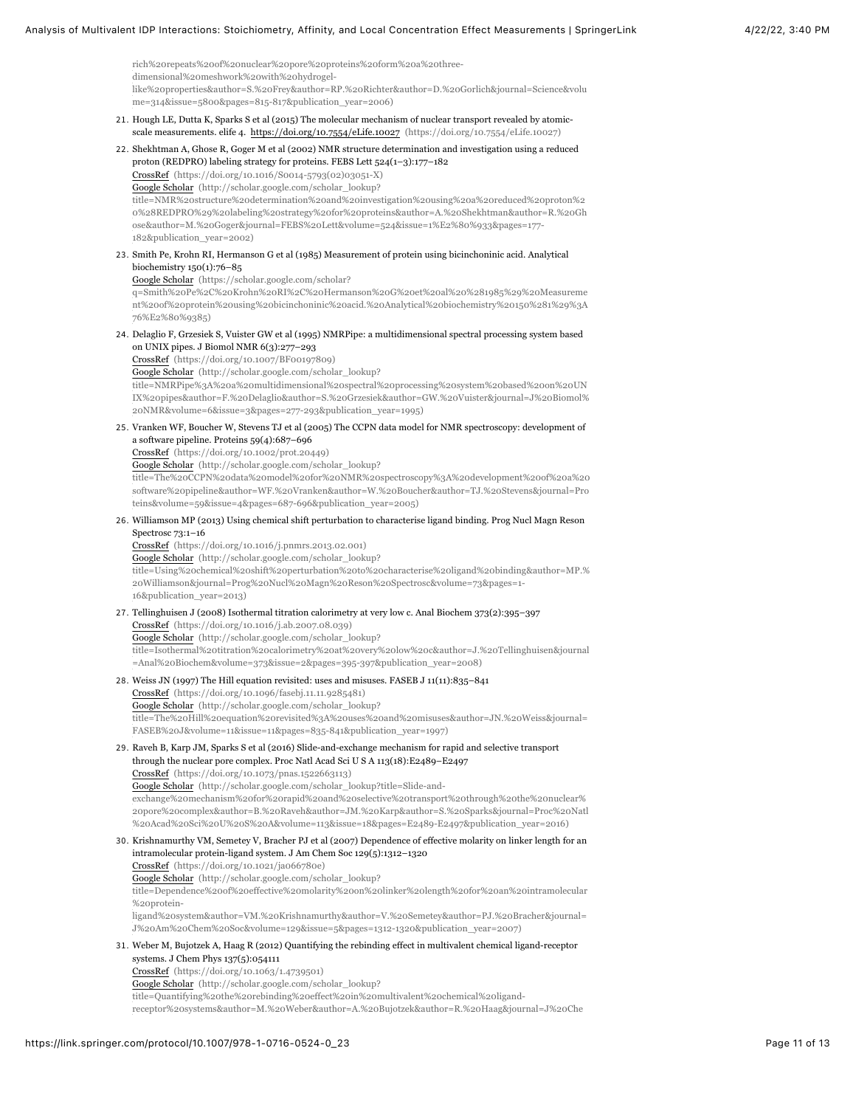rich%20repeats%20of%20nuclear%20pore%20proteins%20form%20a%20threedimensional%20meshwork%20with%20hydrogel[like%20properties&author=S.%20Frey&author=RP.%20Richter&author=D.%20Gorlich&journal=Science&volu](http://scholar.google.com/scholar_lookup?title=FG-rich%20repeats%20of%20nuclear%20pore%20proteins%20form%20a%20three-dimensional%20meshwork%20with%20hydrogel-like%20properties&author=S.%20Frey&author=RP.%20Richter&author=D.%20Gorlich&journal=Science&volume=314&issue=5800&pages=815-817&publication_year=2006) me=314&issue=5800&pages=815-817&publication\_year=2006)

- <span id="page-10-0"></span>21. Hough LE, Dutta K, Sparks S et al (2015) The molecular mechanism of nuclear transport revealed by atomicscale measurements. elife 4. [https://doi.org/10.7554/eLife.10027 \(https://doi.org/10.7554/eLife.10027\)](https://doi.org/10.7554/eLife.10027)
- <span id="page-10-1"></span>22. Shekhtman A, Ghose R, Goger M et al (2002) NMR structure determination and investigation using a reduced proton (REDPRO) labeling strategy for proteins. FEBS Lett 524(1–3):177–182 [CrossRef \(https://doi.org/10.1016/S0014-5793\(02\)03051-X\)](https://doi.org/10.1016/S0014-5793(02)03051-X) Google Scholar (http://scholar.google.com/scholar\_lookup?

title=NMR%20structure%20determination%20and%20investigation%20using%20a%20reduced%20proton%2 [0%28REDPRO%29%20labeling%20strategy%20for%20proteins&author=A.%20Shekhtman&author=R.%20Gh](http://scholar.google.com/scholar_lookup?title=NMR%20structure%20determination%20and%20investigation%20using%20a%20reduced%20proton%20%28REDPRO%29%20labeling%20strategy%20for%20proteins&author=A.%20Shekhtman&author=R.%20Ghose&author=M.%20Goger&journal=FEBS%20Lett&volume=524&issue=1%E2%80%933&pages=177-182&publication_year=2002) ose&author=M.%20Goger&journal=FEBS%20Lett&volume=524&issue=1%E2%80%933&pages=177- 182&publication\_year=2002)

<span id="page-10-2"></span>23. Smith Pe, Krohn RI, Hermanson G et al (1985) Measurement of protein using bicinchoninic acid. Analytical biochemistry 150(1):76–85

Google Scholar (https://scholar.google.com/scholar?

q=Smith%20Pe%2C%20Krohn%20RI%2C%20Hermanson%20G%20et%20al%20%281985%29%20Measureme [nt%20of%20protein%20using%20bicinchoninic%20acid.%20Analytical%20biochemistry%20150%281%29%3A](https://scholar.google.com/scholar?q=Smith%20Pe%2C%20Krohn%20RI%2C%20Hermanson%20G%20et%20al%20%281985%29%20Measurement%20of%20protein%20using%20bicinchoninic%20acid.%20Analytical%20biochemistry%20150%281%29%3A76%E2%80%9385) 76%E2%80%9385)

<span id="page-10-3"></span>24. Delaglio F, Grzesiek S, Vuister GW et al (1995) NMRPipe: a multidimensional spectral processing system based on UNIX pipes. J Biomol NMR 6(3):277–293

[CrossRef \(https://doi.org/10.1007/BF00197809\)](https://doi.org/10.1007/BF00197809)

Google Scholar (http://scholar.google.com/scholar\_lookup?

title=NMRPipe%3A%20a%20multidimensional%20spectral%20processing%20system%20based%20on%20UN [IX%20pipes&author=F.%20Delaglio&author=S.%20Grzesiek&author=GW.%20Vuister&journal=J%20Biomol%](http://scholar.google.com/scholar_lookup?title=NMRPipe%3A%20a%20multidimensional%20spectral%20processing%20system%20based%20on%20UNIX%20pipes&author=F.%20Delaglio&author=S.%20Grzesiek&author=GW.%20Vuister&journal=J%20Biomol%20NMR&volume=6&issue=3&pages=277-293&publication_year=1995) 20NMR&volume=6&issue=3&pages=277-293&publication\_year=1995)

<span id="page-10-4"></span>25. Vranken WF, Boucher W, Stevens TJ et al (2005) The CCPN data model for NMR spectroscopy: development of a software pipeline. Proteins 59(4):687–696

[CrossRef \(https://doi.org/10.1002/prot.20449\)](https://doi.org/10.1002/prot.20449)

Google Scholar (http://scholar.google.com/scholar\_lookup?

[title=The%20CCPN%20data%20model%20for%20NMR%20spectroscopy%3A%20development%20of%20a%20](http://scholar.google.com/scholar_lookup?title=The%20CCPN%20data%20model%20for%20NMR%20spectroscopy%3A%20development%20of%20a%20software%20pipeline&author=WF.%20Vranken&author=W.%20Boucher&author=TJ.%20Stevens&journal=Proteins&volume=59&issue=4&pages=687-696&publication_year=2005) software%20pipeline&author=WF.%20Vranken&author=W.%20Boucher&author=TJ.%20Stevens&journal=Pro teins&volume=59&issue=4&pages=687-696&publication\_year=2005)

<span id="page-10-5"></span>26. Williamson MP (2013) Using chemical shift perturbation to characterise ligand binding. Prog Nucl Magn Reson Spectrosc 73:1–16

[CrossRef \(https://doi.org/10.1016/j.pnmrs.2013.02.001\)](https://doi.org/10.1016/j.pnmrs.2013.02.001) Google Scholar (http://scholar.google.com/scholar\_lookup? [title=Using%20chemical%20shift%20perturbation%20to%20characterise%20ligand%20binding&author=MP.%](http://scholar.google.com/scholar_lookup?title=Using%20chemical%20shift%20perturbation%20to%20characterise%20ligand%20binding&author=MP.%20Williamson&journal=Prog%20Nucl%20Magn%20Reson%20Spectrosc&volume=73&pages=1-16&publication_year=2013) 20Williamson&journal=Prog%20Nucl%20Magn%20Reson%20Spectrosc&volume=73&pages=1- 16&publication\_year=2013)

#### 27. Tellinghuisen J (2008) Isothermal titration calorimetry at very low c. Anal Biochem 373(2):395–397

<span id="page-10-6"></span>[CrossRef \(https://doi.org/10.1016/j.ab.2007.08.039\)](https://doi.org/10.1016/j.ab.2007.08.039)

Google Scholar (http://scholar.google.com/scholar\_lookup?

[title=Isothermal%20titration%20calorimetry%20at%20very%20low%20c&author=J.%20Tellinghuisen&journal](http://scholar.google.com/scholar_lookup?title=Isothermal%20titration%20calorimetry%20at%20very%20low%20c&author=J.%20Tellinghuisen&journal=Anal%20Biochem&volume=373&issue=2&pages=395-397&publication_year=2008) =Anal%20Biochem&volume=373&issue=2&pages=395-397&publication\_year=2008)

28. Weiss JN (1997) The Hill equation revisited: uses and misuses. FASEB J 11(11):835–841

<span id="page-10-7"></span>[CrossRef \(https://doi.org/10.1096/fasebj.11.11.9285481\)](https://doi.org/10.1096/fasebj.11.11.9285481) Google Scholar (http://scholar.google.com/scholar\_lookup? [title=The%20Hill%20equation%20revisited%3A%20uses%20and%20misuses&author=JN.%20Weiss&journal=](http://scholar.google.com/scholar_lookup?title=The%20Hill%20equation%20revisited%3A%20uses%20and%20misuses&author=JN.%20Weiss&journal=FASEB%20J&volume=11&issue=11&pages=835-841&publication_year=1997) FASEB%20J&volume=11&issue=11&pages=835-841&publication\_year=1997)

<span id="page-10-8"></span>29. Raveh B, Karp JM, Sparks S et al (2016) Slide-and-exchange mechanism for rapid and selective transport through the nuclear pore complex. Proc Natl Acad Sci U S A 113(18):E2489–E2497 [CrossRef \(https://doi.org/10.1073/pnas.1522663113\)](https://doi.org/10.1073/pnas.1522663113)

Google Scholar (http://scholar.google.com/scholar\_lookup?title=Slide-and-

exchange%20mechanism%20for%20rapid%20and%20selective%20transport%20through%20the%20nuclear% [20pore%20complex&author=B.%20Raveh&author=JM.%20Karp&author=S.%20Sparks&journal=Proc%20Natl](http://scholar.google.com/scholar_lookup?title=Slide-and-exchange%20mechanism%20for%20rapid%20and%20selective%20transport%20through%20the%20nuclear%20pore%20complex&author=B.%20Raveh&author=JM.%20Karp&author=S.%20Sparks&journal=Proc%20Natl%20Acad%20Sci%20U%20S%20A&volume=113&issue=18&pages=E2489-E2497&publication_year=2016) %20Acad%20Sci%20U%20S%20A&volume=113&issue=18&pages=E2489-E2497&publication\_year=2016)

<span id="page-10-9"></span>30. Krishnamurthy VM, Semetey V, Bracher PJ et al (2007) Dependence of effective molarity on linker length for an intramolecular protein-ligand system. J Am Chem Soc 129(5):1312–1320 [CrossRef \(https://doi.org/10.1021/ja066780e\)](https://doi.org/10.1021/ja066780e)

Google Scholar (http://scholar.google.com/scholar\_lookup?

[title=Dependence%20of%20effective%20molarity%20on%20linker%20length%20for%20an%20intramolecular](http://scholar.google.com/scholar_lookup?title=Dependence%20of%20effective%20molarity%20on%20linker%20length%20for%20an%20intramolecular%20protein-ligand%20system&author=VM.%20Krishnamurthy&author=V.%20Semetey&author=PJ.%20Bracher&journal=J%20Am%20Chem%20Soc&volume=129&issue=5&pages=1312-1320&publication_year=2007) %20protein-

ligand%20system&author=VM.%20Krishnamurthy&author=V.%20Semetey&author=PJ.%20Bracher&journal= J%20Am%20Chem%20Soc&volume=129&issue=5&pages=1312-1320&publication\_year=2007)

<span id="page-10-10"></span>31. Weber M, Bujotzek A, Haag R (2012) Quantifying the rebinding effect in multivalent chemical ligand-receptor systems. J Chem Phys 137(5):054111

[CrossRef \(https://doi.org/10.1063/1.4739501\)](https://doi.org/10.1063/1.4739501)

Google Scholar (http://scholar.google.com/scholar\_lookup?

title=Quantifying%20the%20rebinding%20effect%20in%20multivalent%20chemical%20ligand-

[receptor%20systems&author=M.%20Weber&author=A.%20Bujotzek&author=R.%20Haag&journal=J%20Che](http://scholar.google.com/scholar_lookup?title=Quantifying%20the%20rebinding%20effect%20in%20multivalent%20chemical%20ligand-receptor%20systems&author=M.%20Weber&author=A.%20Bujotzek&author=R.%20Haag&journal=J%20Chem%20Phys&volume=137&issue=5&publication_year=2012)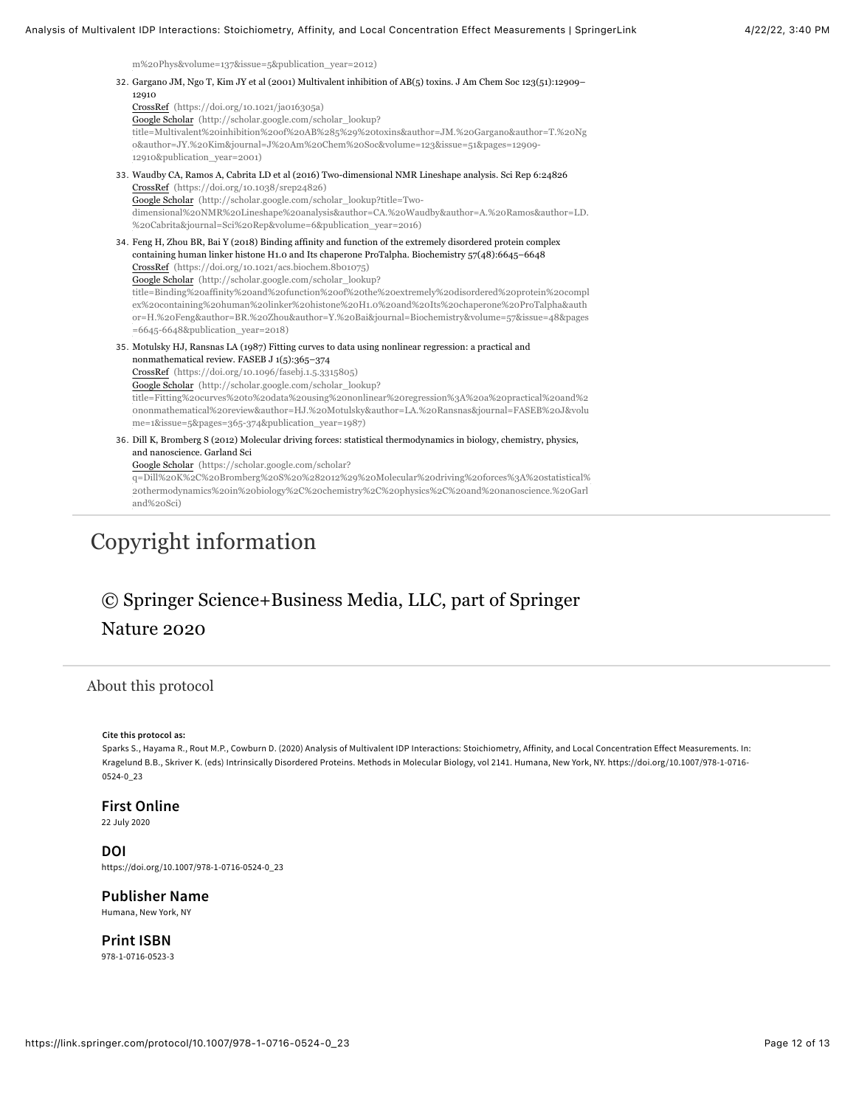[m%20Phys&volume=137&issue=5&publication\\_year=2012\)](http://scholar.google.com/scholar_lookup?title=Quantifying%20the%20rebinding%20effect%20in%20multivalent%20chemical%20ligand-receptor%20systems&author=M.%20Weber&author=A.%20Bujotzek&author=R.%20Haag&journal=J%20Chem%20Phys&volume=137&issue=5&publication_year=2012)

<span id="page-11-3"></span><span id="page-11-2"></span><span id="page-11-1"></span>

| 32. Gargano JM, Ngo T, Kim JY et al (2001) Multivalent inhibition of AB(5) toxins. J Am Chem Soc 123(51):12909-<br>12910<br>CrossRef (https://doi.org/10.1021/ja016305a)<br>Google Scholar (http://scholar.google.com/scholar_lookup?<br>title=Multivalent%20inhibition%20of%20AB%285%29%20toxins&author=JM.%20Gargano&author=T.%20Ng<br>o&author=JY.%20Kim&journal=J%20Am%20Chem%20Soc&volume=123&issue=51&pages=12909-<br>12910&publication_year=2001)                                                                                                                                                                                                                          |
|-----------------------------------------------------------------------------------------------------------------------------------------------------------------------------------------------------------------------------------------------------------------------------------------------------------------------------------------------------------------------------------------------------------------------------------------------------------------------------------------------------------------------------------------------------------------------------------------------------------------------------------------------------------------------------------|
| 33. Waudby CA, Ramos A, Cabrita LD et al (2016) Two-dimensional NMR Lineshape analysis. Sci Rep 6:24826<br>CrossRef (https://doi.org/10.1038/srep24826)<br>Google Scholar (http://scholar.google.com/scholar_lookup?title=Two-<br>dimensional%20NMR%20Lineshape%20analysis&author=CA.%20Waudby&author=A.%20Ramos&author=LD.<br>%20Cabrita&journal=Sci%20Rep&volume=6&publication year=2016)                                                                                                                                                                                                                                                                                       |
| 34. Feng H, Zhou BR, Bai Y (2018) Binding affinity and function of the extremely disordered protein complex<br>containing human linker histone H1.0 and Its chaperone ProTalpha. Biochemistry 57(48):6645-6648<br>CrossRef (https://doi.org/10.1021/acs.biochem.8b01075)<br>Google Scholar (http://scholar.google.com/scholar_lookup?<br>title=Binding%20affinity%20and%20function%20of%20the%20extremely%20disordered%20protein%20compl<br>ex%20containing%20human%20linker%20histone%20H1.0%20and%20Its%20chaperone%20ProTalpha&auth<br>or=H.%20Feng&author=BR.%20Zhou&author=Y.%20Bai&journal=Biochemistry&volume=57&issue=48&pages<br>$= 6645 - 6648$ &publication_year=2018) |
| 35. Motulsky HJ, Ransnas LA (1987) Fitting curves to data using nonlinear regression: a practical and<br>nonmathematical review. FASEB J 1(5):365-374<br>CrossRef (https://doi.org/10.1096/fasebj.1.5.3315805)<br>Google Scholar (http://scholar.google.com/scholar_lookup?<br>title=Fitting%20curves%20to%20data%20using%20nonlinear%20regression%3A%20a%20practical%20and%2<br>ononmathematical%20review&author=HJ.%20Motulsky&author=LA.%20Ransnas&journal=FASEB%20J&volu<br>me=1&issue=5&pages=365-374&publication_year=1987)                                                                                                                                                 |
| 36. Dill K, Bromberg S (2012) Molecular driving forces: statistical thermodynamics in biology, chemistry, physics,<br>and nanoscience. Garland Sci<br>Google Scholar (https://scholar.google.com/scholar?<br>q=Dill%20K%2C%20Bromberg%20S%20%282012%29%20Molecular%20driving%20forces%3A%20statistical%<br>20thermodynamics%20in%20biology%2C%20chemistry%2C%20physics%2C%20and%20nanoscience.%20Garl<br>and%20Sci)                                                                                                                                                                                                                                                               |

# <span id="page-11-5"></span><span id="page-11-4"></span>Copyright information

# © Springer Science+Business Media, LLC, part of Springer Nature 2020

### About this protocol

#### <span id="page-11-0"></span>**Cite this protocol as:**

Sparks S., Hayama R., Rout M.P., Cowburn D. (2020) Analysis of Multivalent IDP Interactions: Stoichiometry, Affinity, and Local Concentration Effect Measurements. In: Kragelund B.B., Skriver K. (eds) Intrinsically Disordered Proteins. Methods in Molecular Biology, vol 2141. Humana, New York, NY. https://doi.org/10.1007/978-1-0716- 0524-0\_23

#### **First Online**

22 July 2020

#### **DOI**

https://doi.org/10.1007/978-1-0716-0524-0\_23

#### **Publisher Name**

Humana, New York, NY

**Print ISBN** 978-1-0716-0523-3